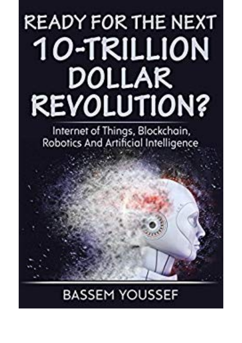## **READY FOR THE NEXT** 10-TRILLION DOLLAR **REVOLUTION?**

Internet of Things, Blockchain, Robotics And Artificial Intelligence

## **BASSEM YOUSSEF**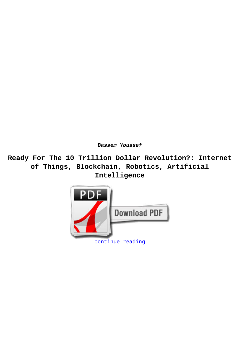**Bassem Youssef**

**Ready For The 10 Trillion Dollar Revolution?: Internet of Things, Blockchain, Robotics, Artificial Intelligence**

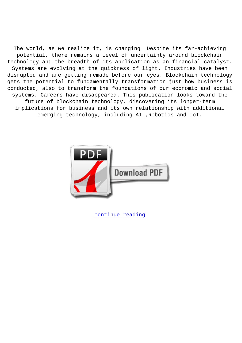The world, as we realize it, is changing. Despite its far-achieving potential, there remains a level of uncertainty around blockchain technology and the breadth of its application as an financial catalyst. Systems are evolving at the quickness of light. Industries have been disrupted and are getting remade before our eyes. Blockchain technology gets the potential to fundamentally transformation just how business is conducted, also to transform the foundations of our economic and social systems. Careers have disappeared. This publication looks toward the future of blockchain technology, discovering its longer-term implications for business and its own relationship with additional emerging technology, including AI ,Robotics and IoT.



[continue reading](http://bit.ly/2Tge8Fv)